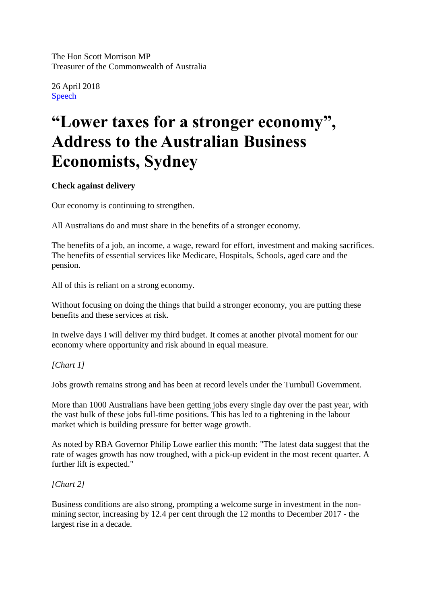The Hon Scott Morrison MP Treasurer of the Commonwealth of Australia

26 April 2018 [Speech](http://sjm.ministers.treasury.gov.au/speech/)

# **"Lower taxes for a stronger economy", Address to the Australian Business Economists, Sydney**

# **Check against delivery**

Our economy is continuing to strengthen.

All Australians do and must share in the benefits of a stronger economy.

The benefits of a job, an income, a wage, reward for effort, investment and making sacrifices. The benefits of essential services like Medicare, Hospitals, Schools, aged care and the pension.

All of this is reliant on a strong economy.

Without focusing on doing the things that build a stronger economy, you are putting these benefits and these services at risk.

In twelve days I will deliver my third budget. It comes at another pivotal moment for our economy where opportunity and risk abound in equal measure.

# *[Chart 1]*

Jobs growth remains strong and has been at record levels under the Turnbull Government.

More than 1000 Australians have been getting jobs every single day over the past year, with the vast bulk of these jobs full-time positions. This has led to a tightening in the labour market which is building pressure for better wage growth.

As noted by RBA Governor Philip Lowe earlier this month: "The latest data suggest that the rate of wages growth has now troughed, with a pick-up evident in the most recent quarter. A further lift is expected."

# *[Chart 2]*

Business conditions are also strong, prompting a welcome surge in investment in the nonmining sector, increasing by 12.4 per cent through the 12 months to December 2017 - the largest rise in a decade.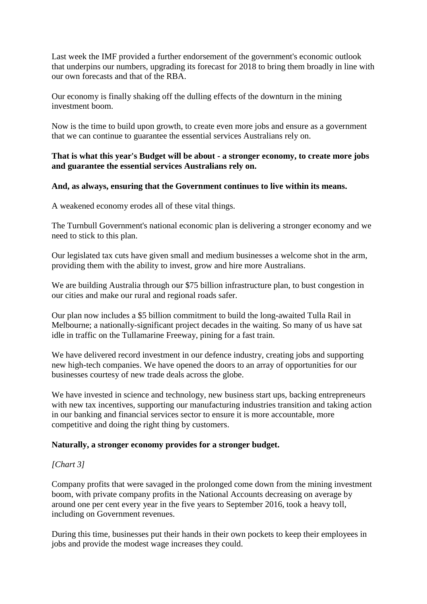Last week the IMF provided a further endorsement of the government's economic outlook that underpins our numbers, upgrading its forecast for 2018 to bring them broadly in line with our own forecasts and that of the RBA.

Our economy is finally shaking off the dulling effects of the downturn in the mining investment boom.

Now is the time to build upon growth, to create even more jobs and ensure as a government that we can continue to guarantee the essential services Australians rely on.

# **That is what this year's Budget will be about - a stronger economy, to create more jobs and guarantee the essential services Australians rely on.**

## **And, as always, ensuring that the Government continues to live within its means.**

A weakened economy erodes all of these vital things.

The Turnbull Government's national economic plan is delivering a stronger economy and we need to stick to this plan.

Our legislated tax cuts have given small and medium businesses a welcome shot in the arm, providing them with the ability to invest, grow and hire more Australians.

We are building Australia through our \$75 billion infrastructure plan, to bust congestion in our cities and make our rural and regional roads safer.

Our plan now includes a \$5 billion commitment to build the long-awaited Tulla Rail in Melbourne; a nationally-significant project decades in the waiting. So many of us have sat idle in traffic on the Tullamarine Freeway, pining for a fast train.

We have delivered record investment in our defence industry, creating jobs and supporting new high-tech companies. We have opened the doors to an array of opportunities for our businesses courtesy of new trade deals across the globe.

We have invested in science and technology, new business start ups, backing entrepreneurs with new tax incentives, supporting our manufacturing industries transition and taking action in our banking and financial services sector to ensure it is more accountable, more competitive and doing the right thing by customers.

#### **Naturally, a stronger economy provides for a stronger budget.**

# *[Chart 3]*

Company profits that were savaged in the prolonged come down from the mining investment boom, with private company profits in the National Accounts decreasing on average by around one per cent every year in the five years to September 2016, took a heavy toll, including on Government revenues.

During this time, businesses put their hands in their own pockets to keep their employees in jobs and provide the modest wage increases they could.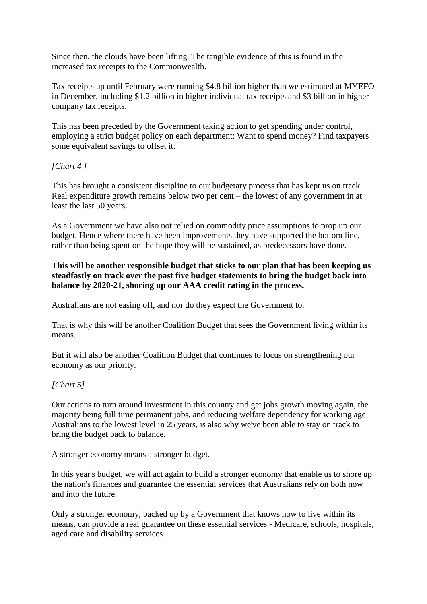Since then, the clouds have been lifting. The tangible evidence of this is found in the increased tax receipts to the Commonwealth.

Tax receipts up until February were running \$4.8 billion higher than we estimated at MYEFO in December, including \$1.2 billion in higher individual tax receipts and \$3 billion in higher company tax receipts.

This has been preceded by the Government taking action to get spending under control, employing a strict budget policy on each department: Want to spend money? Find taxpayers some equivalent savings to offset it.

# *[Chart 4 ]*

This has brought a consistent discipline to our budgetary process that has kept us on track. Real expenditure growth remains below two per cent – the lowest of any government in at least the last 50 years.

As a Government we have also not relied on commodity price assumptions to prop up our budget. Hence where there have been improvements they have supported the bottom line, rather than being spent on the hope they will be sustained, as predecessors have done.

**This will be another responsible budget that sticks to our plan that has been keeping us steadfastly on track over the past five budget statements to bring the budget back into balance by 2020-21, shoring up our AAA credit rating in the process.**

Australians are not easing off, and nor do they expect the Government to.

That is why this will be another Coalition Budget that sees the Government living within its means.

But it will also be another Coalition Budget that continues to focus on strengthening our economy as our priority.

# *[Chart 5]*

Our actions to turn around investment in this country and get jobs growth moving again, the majority being full time permanent jobs, and reducing welfare dependency for working age Australians to the lowest level in 25 years, is also why we've been able to stay on track to bring the budget back to balance.

A stronger economy means a stronger budget.

In this year's budget, we will act again to build a stronger economy that enable us to shore up the nation's finances and guarantee the essential services that Australians rely on both now and into the future.

Only a stronger economy, backed up by a Government that knows how to live within its means, can provide a real guarantee on these essential services - Medicare, schools, hospitals, aged care and disability services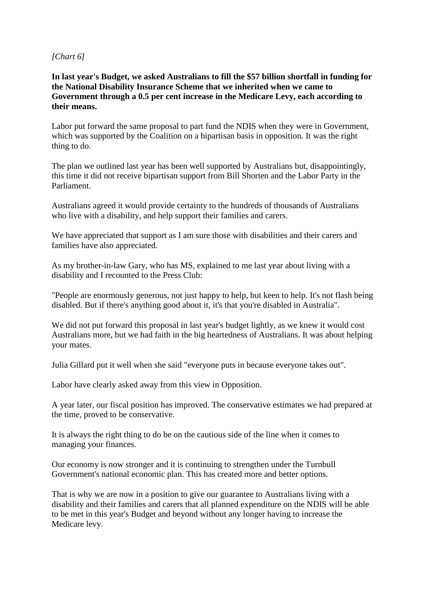## *[Chart 6]*

**In last year's Budget, we asked Australians to fill the \$57 billion shortfall in funding for the National Disability Insurance Scheme that we inherited when we came to Government through a 0.5 per cent increase in the Medicare Levy, each according to their means.**

Labor put forward the same proposal to part fund the NDIS when they were in Government, which was supported by the Coalition on a bipartisan basis in opposition. It was the right thing to do.

The plan we outlined last year has been well supported by Australians but, disappointingly, this time it did not receive bipartisan support from Bill Shorten and the Labor Party in the Parliament.

Australians agreed it would provide certainty to the hundreds of thousands of Australians who live with a disability, and help support their families and carers.

We have appreciated that support as I am sure those with disabilities and their carers and families have also appreciated.

As my brother-in-law Gary, who has MS, explained to me last year about living with a disability and I recounted to the Press Club:

"People are enormously generous, not just happy to help, but keen to help. It's not flash being disabled. But if there's anything good about it, it's that you're disabled in Australia".

We did not put forward this proposal in last year's budget lightly, as we knew it would cost Australians more, but we had faith in the big heartedness of Australians. It was about helping your mates.

Julia Gillard put it well when she said "everyone puts in because everyone takes out".

Labor have clearly asked away from this view in Opposition.

A year later, our fiscal position has improved. The conservative estimates we had prepared at the time, proved to be conservative.

It is always the right thing to do be on the cautious side of the line when it comes to managing your finances.

Our economy is now stronger and it is continuing to strengthen under the Turnbull Government's national economic plan. This has created more and better options.

That is why we are now in a position to give our guarantee to Australians living with a disability and their families and carers that all planned expenditure on the NDIS will be able to be met in this year's Budget and beyond without any longer having to increase the Medicare levy.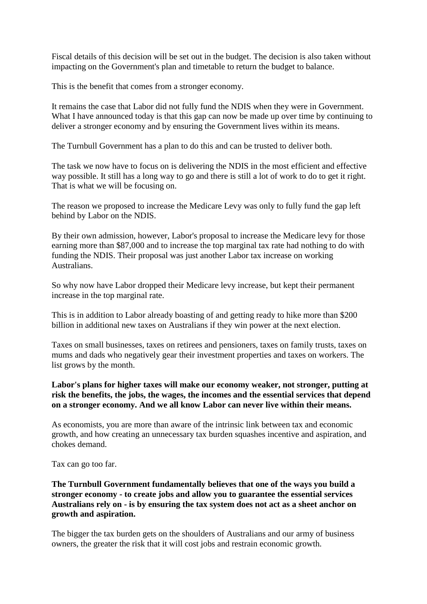Fiscal details of this decision will be set out in the budget. The decision is also taken without impacting on the Government's plan and timetable to return the budget to balance.

This is the benefit that comes from a stronger economy.

It remains the case that Labor did not fully fund the NDIS when they were in Government. What I have announced today is that this gap can now be made up over time by continuing to deliver a stronger economy and by ensuring the Government lives within its means.

The Turnbull Government has a plan to do this and can be trusted to deliver both.

The task we now have to focus on is delivering the NDIS in the most efficient and effective way possible. It still has a long way to go and there is still a lot of work to do to get it right. That is what we will be focusing on.

The reason we proposed to increase the Medicare Levy was only to fully fund the gap left behind by Labor on the NDIS.

By their own admission, however, Labor's proposal to increase the Medicare levy for those earning more than \$87,000 and to increase the top marginal tax rate had nothing to do with funding the NDIS. Their proposal was just another Labor tax increase on working Australians.

So why now have Labor dropped their Medicare levy increase, but kept their permanent increase in the top marginal rate.

This is in addition to Labor already boasting of and getting ready to hike more than \$200 billion in additional new taxes on Australians if they win power at the next election.

Taxes on small businesses, taxes on retirees and pensioners, taxes on family trusts, taxes on mums and dads who negatively gear their investment properties and taxes on workers. The list grows by the month.

# **Labor's plans for higher taxes will make our economy weaker, not stronger, putting at risk the benefits, the jobs, the wages, the incomes and the essential services that depend on a stronger economy. And we all know Labor can never live within their means.**

As economists, you are more than aware of the intrinsic link between tax and economic growth, and how creating an unnecessary tax burden squashes incentive and aspiration, and chokes demand.

Tax can go too far.

## **The Turnbull Government fundamentally believes that one of the ways you build a stronger economy - to create jobs and allow you to guarantee the essential services Australians rely on - is by ensuring the tax system does not act as a sheet anchor on growth and aspiration.**

The bigger the tax burden gets on the shoulders of Australians and our army of business owners, the greater the risk that it will cost jobs and restrain economic growth.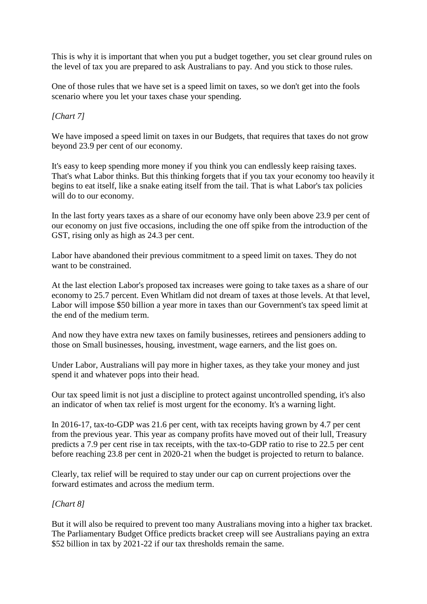This is why it is important that when you put a budget together, you set clear ground rules on the level of tax you are prepared to ask Australians to pay. And you stick to those rules.

One of those rules that we have set is a speed limit on taxes, so we don't get into the fools scenario where you let your taxes chase your spending.

# *[Chart 7]*

We have imposed a speed limit on taxes in our Budgets, that requires that taxes do not grow beyond 23.9 per cent of our economy.

It's easy to keep spending more money if you think you can endlessly keep raising taxes. That's what Labor thinks. But this thinking forgets that if you tax your economy too heavily it begins to eat itself, like a snake eating itself from the tail. That is what Labor's tax policies will do to our economy.

In the last forty years taxes as a share of our economy have only been above 23.9 per cent of our economy on just five occasions, including the one off spike from the introduction of the GST, rising only as high as 24.3 per cent.

Labor have abandoned their previous commitment to a speed limit on taxes. They do not want to be constrained.

At the last election Labor's proposed tax increases were going to take taxes as a share of our economy to 25.7 percent. Even Whitlam did not dream of taxes at those levels. At that level, Labor will impose \$50 billion a year more in taxes than our Government's tax speed limit at the end of the medium term.

And now they have extra new taxes on family businesses, retirees and pensioners adding to those on Small businesses, housing, investment, wage earners, and the list goes on.

Under Labor, Australians will pay more in higher taxes, as they take your money and just spend it and whatever pops into their head.

Our tax speed limit is not just a discipline to protect against uncontrolled spending, it's also an indicator of when tax relief is most urgent for the economy. It's a warning light.

In 2016-17, tax-to-GDP was 21.6 per cent, with tax receipts having grown by 4.7 per cent from the previous year. This year as company profits have moved out of their lull, Treasury predicts a 7.9 per cent rise in tax receipts, with the tax-to-GDP ratio to rise to 22.5 per cent before reaching 23.8 per cent in 2020-21 when the budget is projected to return to balance.

Clearly, tax relief will be required to stay under our cap on current projections over the forward estimates and across the medium term.

#### *[Chart 8]*

But it will also be required to prevent too many Australians moving into a higher tax bracket. The Parliamentary Budget Office predicts bracket creep will see Australians paying an extra \$52 billion in tax by 2021-22 if our tax thresholds remain the same.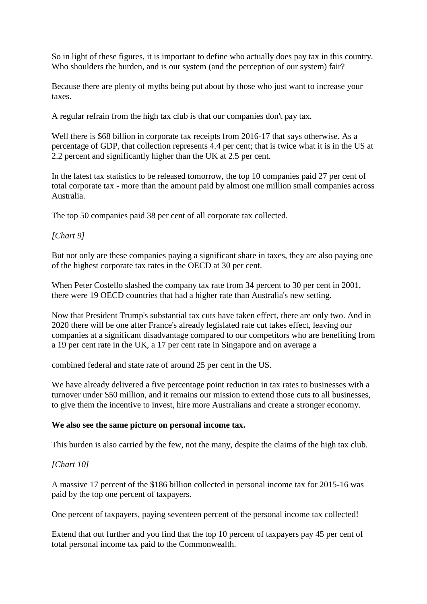So in light of these figures, it is important to define who actually does pay tax in this country. Who shoulders the burden, and is our system (and the perception of our system) fair?

Because there are plenty of myths being put about by those who just want to increase your taxes.

A regular refrain from the high tax club is that our companies don't pay tax.

Well there is \$68 billion in corporate tax receipts from 2016-17 that says otherwise. As a percentage of GDP, that collection represents 4.4 per cent; that is twice what it is in the US at 2.2 percent and significantly higher than the UK at 2.5 per cent.

In the latest tax statistics to be released tomorrow, the top 10 companies paid 27 per cent of total corporate tax - more than the amount paid by almost one million small companies across Australia.

The top 50 companies paid 38 per cent of all corporate tax collected.

## *[Chart 9]*

But not only are these companies paying a significant share in taxes, they are also paying one of the highest corporate tax rates in the OECD at 30 per cent.

When Peter Costello slashed the company tax rate from 34 percent to 30 per cent in 2001, there were 19 OECD countries that had a higher rate than Australia's new setting.

Now that President Trump's substantial tax cuts have taken effect, there are only two. And in 2020 there will be one after France's already legislated rate cut takes effect, leaving our companies at a significant disadvantage compared to our competitors who are benefiting from a 19 per cent rate in the UK, a 17 per cent rate in Singapore and on average a

combined federal and state rate of around 25 per cent in the US.

We have already delivered a five percentage point reduction in tax rates to businesses with a turnover under \$50 million, and it remains our mission to extend those cuts to all businesses, to give them the incentive to invest, hire more Australians and create a stronger economy.

#### **We also see the same picture on personal income tax.**

This burden is also carried by the few, not the many, despite the claims of the high tax club.

#### *[Chart 10]*

A massive 17 percent of the \$186 billion collected in personal income tax for 2015-16 was paid by the top one percent of taxpayers.

One percent of taxpayers, paying seventeen percent of the personal income tax collected!

Extend that out further and you find that the top 10 percent of taxpayers pay 45 per cent of total personal income tax paid to the Commonwealth.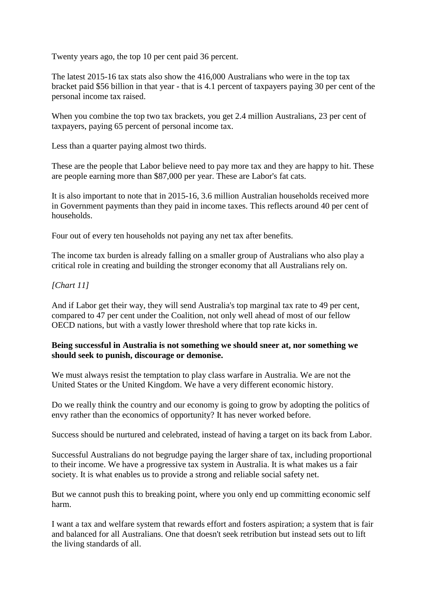Twenty years ago, the top 10 per cent paid 36 percent.

The latest 2015-16 tax stats also show the 416,000 Australians who were in the top tax bracket paid \$56 billion in that year - that is 4.1 percent of taxpayers paying 30 per cent of the personal income tax raised.

When you combine the top two tax brackets, you get 2.4 million Australians, 23 per cent of taxpayers, paying 65 percent of personal income tax.

Less than a quarter paying almost two thirds.

These are the people that Labor believe need to pay more tax and they are happy to hit. These are people earning more than \$87,000 per year. These are Labor's fat cats.

It is also important to note that in 2015-16, 3.6 million Australian households received more in Government payments than they paid in income taxes. This reflects around 40 per cent of households.

Four out of every ten households not paying any net tax after benefits.

The income tax burden is already falling on a smaller group of Australians who also play a critical role in creating and building the stronger economy that all Australians rely on.

# *[Chart 11]*

And if Labor get their way, they will send Australia's top marginal tax rate to 49 per cent, compared to 47 per cent under the Coalition, not only well ahead of most of our fellow OECD nations, but with a vastly lower threshold where that top rate kicks in.

# **Being successful in Australia is not something we should sneer at, nor something we should seek to punish, discourage or demonise.**

We must always resist the temptation to play class warfare in Australia. We are not the United States or the United Kingdom. We have a very different economic history.

Do we really think the country and our economy is going to grow by adopting the politics of envy rather than the economics of opportunity? It has never worked before.

Success should be nurtured and celebrated, instead of having a target on its back from Labor.

Successful Australians do not begrudge paying the larger share of tax, including proportional to their income. We have a progressive tax system in Australia. It is what makes us a fair society. It is what enables us to provide a strong and reliable social safety net.

But we cannot push this to breaking point, where you only end up committing economic self harm.

I want a tax and welfare system that rewards effort and fosters aspiration; a system that is fair and balanced for all Australians. One that doesn't seek retribution but instead sets out to lift the living standards of all.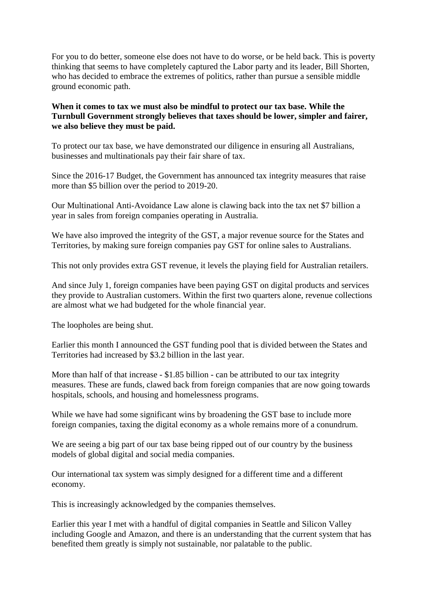For you to do better, someone else does not have to do worse, or be held back. This is poverty thinking that seems to have completely captured the Labor party and its leader, Bill Shorten, who has decided to embrace the extremes of politics, rather than pursue a sensible middle ground economic path.

# **When it comes to tax we must also be mindful to protect our tax base. While the Turnbull Government strongly believes that taxes should be lower, simpler and fairer, we also believe they must be paid.**

To protect our tax base, we have demonstrated our diligence in ensuring all Australians, businesses and multinationals pay their fair share of tax.

Since the 2016-17 Budget, the Government has announced tax integrity measures that raise more than \$5 billion over the period to 2019-20.

Our Multinational Anti-Avoidance Law alone is clawing back into the tax net \$7 billion a year in sales from foreign companies operating in Australia.

We have also improved the integrity of the GST, a major revenue source for the States and Territories, by making sure foreign companies pay GST for online sales to Australians.

This not only provides extra GST revenue, it levels the playing field for Australian retailers.

And since July 1, foreign companies have been paying GST on digital products and services they provide to Australian customers. Within the first two quarters alone, revenue collections are almost what we had budgeted for the whole financial year.

The loopholes are being shut.

Earlier this month I announced the GST funding pool that is divided between the States and Territories had increased by \$3.2 billion in the last year.

More than half of that increase - \$1.85 billion - can be attributed to our tax integrity measures. These are funds, clawed back from foreign companies that are now going towards hospitals, schools, and housing and homelessness programs.

While we have had some significant wins by broadening the GST base to include more foreign companies, taxing the digital economy as a whole remains more of a conundrum.

We are seeing a big part of our tax base being ripped out of our country by the business models of global digital and social media companies.

Our international tax system was simply designed for a different time and a different economy.

This is increasingly acknowledged by the companies themselves.

Earlier this year I met with a handful of digital companies in Seattle and Silicon Valley including Google and Amazon, and there is an understanding that the current system that has benefited them greatly is simply not sustainable, nor palatable to the public.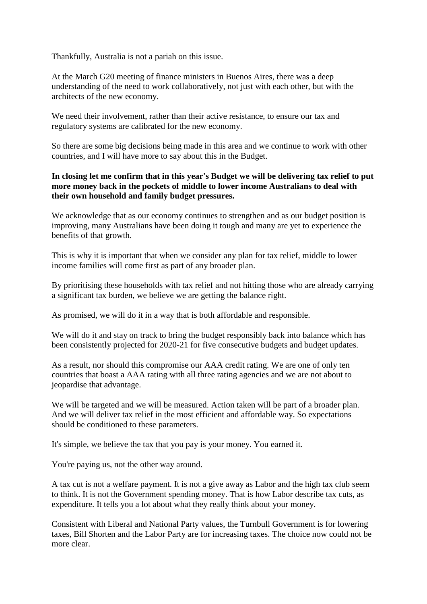Thankfully, Australia is not a pariah on this issue.

At the March G20 meeting of finance ministers in Buenos Aires, there was a deep understanding of the need to work collaboratively, not just with each other, but with the architects of the new economy.

We need their involvement, rather than their active resistance, to ensure our tax and regulatory systems are calibrated for the new economy.

So there are some big decisions being made in this area and we continue to work with other countries, and I will have more to say about this in the Budget.

# **In closing let me confirm that in this year's Budget we will be delivering tax relief to put more money back in the pockets of middle to lower income Australians to deal with their own household and family budget pressures.**

We acknowledge that as our economy continues to strengthen and as our budget position is improving, many Australians have been doing it tough and many are yet to experience the benefits of that growth.

This is why it is important that when we consider any plan for tax relief, middle to lower income families will come first as part of any broader plan.

By prioritising these households with tax relief and not hitting those who are already carrying a significant tax burden, we believe we are getting the balance right.

As promised, we will do it in a way that is both affordable and responsible.

We will do it and stay on track to bring the budget responsibly back into balance which has been consistently projected for 2020-21 for five consecutive budgets and budget updates.

As a result, nor should this compromise our AAA credit rating. We are one of only ten countries that boast a AAA rating with all three rating agencies and we are not about to jeopardise that advantage.

We will be targeted and we will be measured. Action taken will be part of a broader plan. And we will deliver tax relief in the most efficient and affordable way. So expectations should be conditioned to these parameters.

It's simple, we believe the tax that you pay is your money. You earned it.

You're paying us, not the other way around.

A tax cut is not a welfare payment. It is not a give away as Labor and the high tax club seem to think. It is not the Government spending money. That is how Labor describe tax cuts, as expenditure. It tells you a lot about what they really think about your money.

Consistent with Liberal and National Party values, the Turnbull Government is for lowering taxes, Bill Shorten and the Labor Party are for increasing taxes. The choice now could not be more clear.